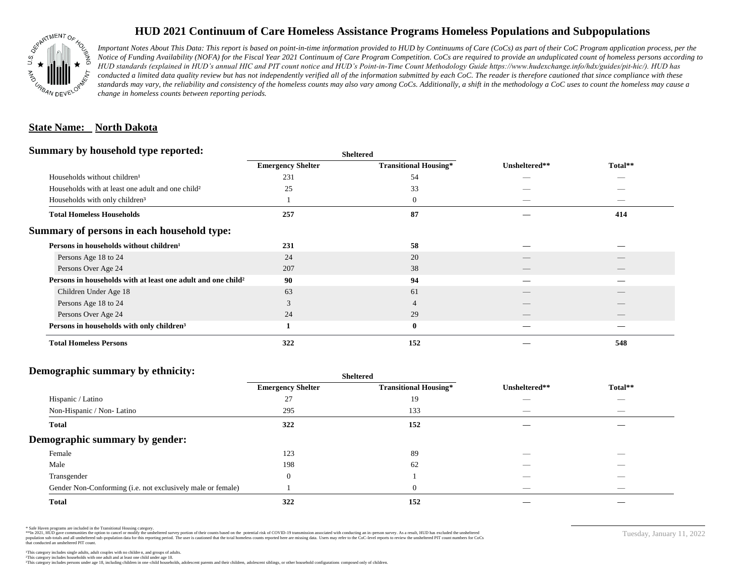

## **HUD 2021 Continuum of Care Homeless Assistance Programs Homeless Populations and Subpopulations**

*Important Notes About This Data: This report is based on point-in-time information provided to HUD by Continuums of Care (CoCs) as part of their CoC Program application process, per the Notice of Funding Availability (NOFA) for the Fiscal Year 2021 Continuum of Care Program Competition. CoCs are required to provide an unduplicated count of homeless persons according to HUD standards (explained in HUD's annual HIC and PIT count notice and HUD's Point-in-Time Count Methodology Guide https://www.hudexchange.info/hdx/guides/pit-hic/). HUD has*  conducted a limited data quality review but has not independently verified all of the information submitted by each CoC. The reader is therefore cautioned that since compliance with these standards may vary, the reliability and consistency of the homeless counts may also vary among CoCs. Additionally, a shift in the methodology a CoC uses to count the homeless may cause a *change in homeless counts between reporting periods.*

#### **State Name: North Dakota**

#### **Summary by household type reported:**

|                                                                          |                          | patter                       |               |         |  |
|--------------------------------------------------------------------------|--------------------------|------------------------------|---------------|---------|--|
|                                                                          | <b>Emergency Shelter</b> | <b>Transitional Housing*</b> | Unsheltered** | Total** |  |
| Households without children <sup>1</sup>                                 | 231                      | 54                           |               | _       |  |
| Households with at least one adult and one child <sup>2</sup>            | 25                       | 33                           |               |         |  |
| Households with only children <sup>3</sup>                               |                          | $\mathbf{0}$                 |               | _       |  |
| <b>Total Homeless Households</b>                                         | 257                      | 87                           |               | 414     |  |
| Summary of persons in each household type:                               |                          |                              |               |         |  |
| Persons in households without children <sup>1</sup>                      | 231                      | 58                           |               |         |  |
| Persons Age 18 to 24                                                     | 24                       | 20                           |               |         |  |
| Persons Over Age 24                                                      | 207                      | 38                           |               |         |  |
| Persons in households with at least one adult and one child <sup>2</sup> | 90                       | 94                           |               |         |  |
| Children Under Age 18                                                    | 63                       | 61                           |               |         |  |
| Persons Age 18 to 24                                                     | $\sim$                   |                              |               |         |  |
| Persons Over Age 24                                                      | 24                       | 29                           |               |         |  |
| Persons in households with only children <sup>3</sup>                    |                          | $\bf{0}$                     |               |         |  |
| <b>Total Homeless Persons</b>                                            | 322                      | 152                          |               | 548     |  |
|                                                                          |                          |                              |               |         |  |

**Sheltered**

## **Demographic summary by ethnicity:**

|                                                             | <b>Sheltered</b>         |                              |                                 |                                |  |
|-------------------------------------------------------------|--------------------------|------------------------------|---------------------------------|--------------------------------|--|
|                                                             | <b>Emergency Shelter</b> | <b>Transitional Housing*</b> | Unsheltered**                   | Total**                        |  |
| Hispanic / Latino                                           | 27                       | 19                           | __                              | $\overbrace{\hspace{25mm}}^{}$ |  |
| Non-Hispanic / Non-Latino                                   | 295                      | 133                          | $\overline{\phantom{a}}$        | $\overbrace{\hspace{25mm}}^{}$ |  |
| <b>Total</b>                                                | 322                      | 152                          |                                 |                                |  |
| Demographic summary by gender:                              |                          |                              |                                 |                                |  |
| Female                                                      | 123                      | 89                           |                                 |                                |  |
| Male                                                        | 198                      | 62                           |                                 |                                |  |
| Transgender                                                 | $\theta$                 |                              | _                               | $\overbrace{\hspace{25mm}}^{}$ |  |
| Gender Non-Conforming (i.e. not exclusively male or female) |                          | $\overline{0}$               | $\hspace{0.1mm}-\hspace{0.1mm}$ | $\overbrace{\hspace{25mm}}^{}$ |  |
| <b>Total</b>                                                | 322                      | 152                          |                                 |                                |  |

\* Safe Haven programs are included in the Transitional Housing category.

\*\*In 2021, HUD gave communities the option to cancel or modify the unsheltered survey portion of their counts based on the potential risk of COVID-19 transmission associated with conducting an in-person survey. As a result n political data for this reporting period. The user is cautioned that the total homeless counts reported here are missing data. Users may refer to the CoC-level reports to review the unshellered PIT count numbers for CoCs that conducted an unsheltered PIT count.

Tuesday, January 11, 2022